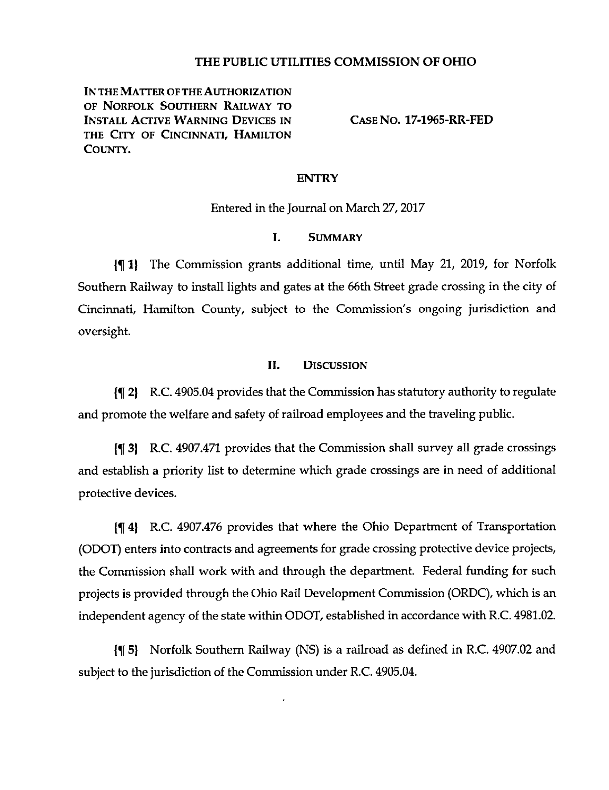# **THE PUBLIC UTILITIES COMMISSION OF OHIO**

IN THE MATTER OF THE AUTHORIZATION OF Norfolk Southern Railway to Install Active Warning Devices in the City of Cincinnati, Hamilton COUNTY.

**Case No. 17-1965-RR-FED**

# **ENTRY**

Entered in the Journal on March 27,2017

## I. Summary

in 1) The Commission grants additional time, until May 21, 2019, for Norfolk Southern Railway to install lights and gates at the 66th Street grade crossing in the city of Cincinnati, Hamilton County, subject to the Commission's ongoing jurisdiction and oversight.

#### II. Discussion

2| R.C. 4905.04 provides that the Commission has statutory authority to regulate and promote the welfare and safety of railroad employees and the traveling public.

3| R.C. 4907.471 provides that the Commission shall survey all grade crossings and establish a priority list to determine which grade crossings are in need of additional protective devices.

{514) R.C. 4907.476 provides that where the Ohio Department of Transportation (ODOT) enters into contracts and agreements for grade crossing protective device projects, the Commission shall work with and through the department. Federal funding for such projects is provided through the Ohio Rail Development Commission (ORDC), which is an independent agency of the state within ODOT, established in accordance with R.C. 4981.02.

(5[ 5) Norfolk Southern Railway (NS) is a railroad as defined in R.C. 4907.02 and subject to the jurisdiction of the Commission under R.C. 4905.04.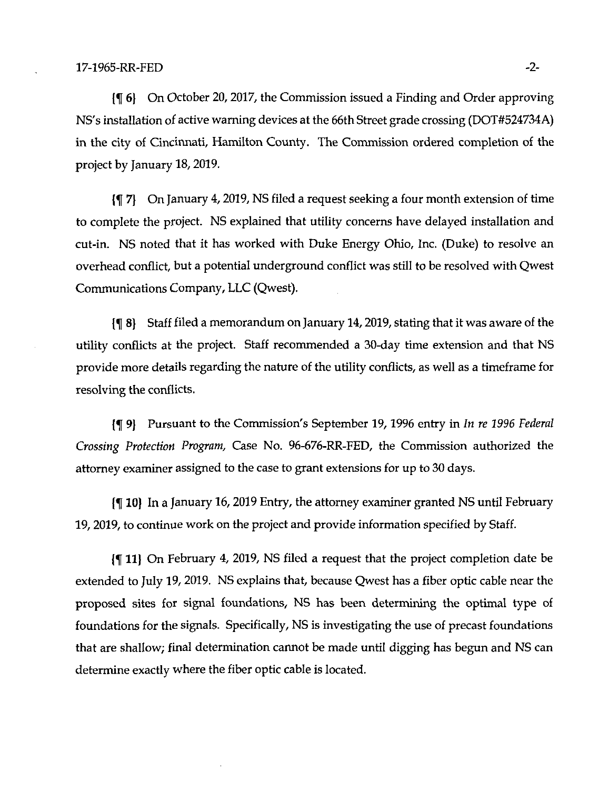6) On October 20,2017, the Commission issued a Finding and Order approving NS's installation of active warning devices at the 66th Street grade crossing (DOT#524734A) in the city of Cincinnati, Hamilton County. The Commission ordered completion of the project by January 18,2019.

 $\{\P\,7\}$  On January 4, 2019, NS filed a request seeking a four month extension of time to complete the project. NS explained that utility concerns have delayed installation and cut-in. NS noted that it has worked with Duke Energy Ohio, Inc. (Duke) to resolve an overhead conflict, but a potential underground conflict was still to be resolved with Qwest Communications Company, LLC (Qwest).

{f 8} Staff filed a memorandum on January 14,2019, stating that it was aware of the utility conflicts at the project. Staff recommended a 30-day time extension and that NS provide more details regarding the nature of the utility conflicts, as well as a timeframe for resolving the conflicts.

{f 9) Pursuant to the Commission's September 19,1996 entry in In re 1996 Federal Crossing Protection Program, Case No. 96-676-RR-FED, the Commission authorized the attorney examiner assigned to the case to grant extensions for up to 30 days.

{f 10) In a January 16,2019 Entry, the attorney examiner granted NS until February 19,2019, to continue work on the project and provide information specified by Staff.

11| On February 4, 2019, NS filed a request that the project completion date be extended to July 19, 2019. NS explains that, because Qwest has a fiber optic cable near the proposed sites for signal foundations, NS has been determining the optimal type of foundations for the signals. Specifically, NS is investigating the use of precast foundations that are shallow; final determination cannot be made until digging has begun and NS can determine exactly where the fiber optic cable is located.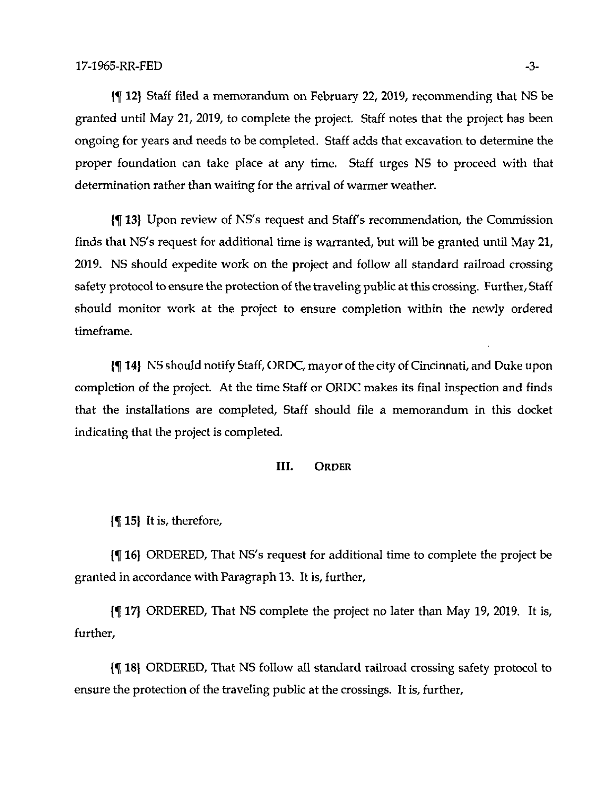12} Staff filed a memorandum on February 22, 2019, recommending that NS be granted until May 21, 2019, to complete the project. Staff notes that the project has been ongoing for years and needs to be completed. Staff adds that excavation to determine the proper foundation can take place at any time. Staff urges NS to proceed with that determination rather than waiting for the arrival of warmer weather.

13} Upon review of NS's request and Staffs recommendation, the Commission finds that NS's request for additional time is warranted, but will be granted until May 21, 2019. NS should expedite work on the project and follow all standard railroad crossing safety protocol to ensure the protection of the traveling public at this crossing. Further, Staff should monitor work at the project to ensure completion within the newly ordered timeframe.

14} NS should notify Staff, ORDC, mayor ofthe city ofCincinnati, and Duke upon completion of the project. At the time Staff or ORDC makes its final inspection and finds that the installations are completed. Staff should file a memorandum in this docket indicating that the project is completed.

## III. Order

15} It is, therefore,

16} ORDERED, That NS's request for additional time to complete the project be granted in accordance with Paragraph 13. It is, further,

17) ORDERED, That NS complete the project no later than May 19, 2019. It is, further,

18} ORDERED, That NS follow all standard railroad crossing safety protocol to ensure the protection of the traveling public at the crossings. It is, further,